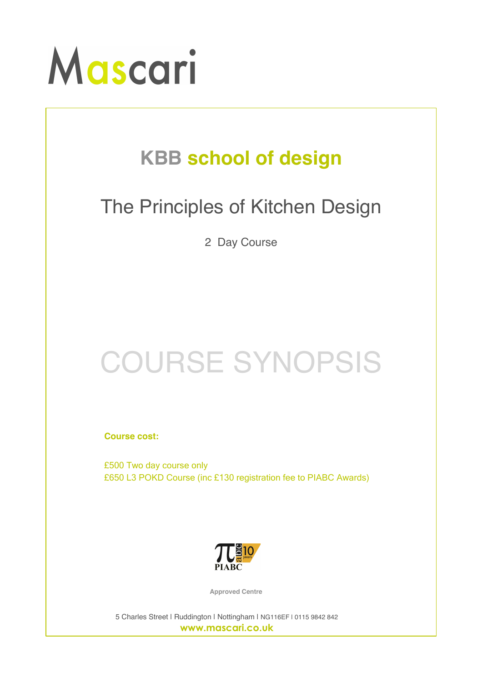

## **KBB school of design**

## The Principles of Kitchen Design

2 Day Course

## COURSE SYNOPSIS

**Course cost:**

£500 Two day course only £650 L3 POKD Course (inc £130 registration fee to PIABC Awards)



**Approved Centre**

5 Charles Street | Ruddington | Nottingham | NG116EF | 0115 9842 842 **www.mascari.co.uk**